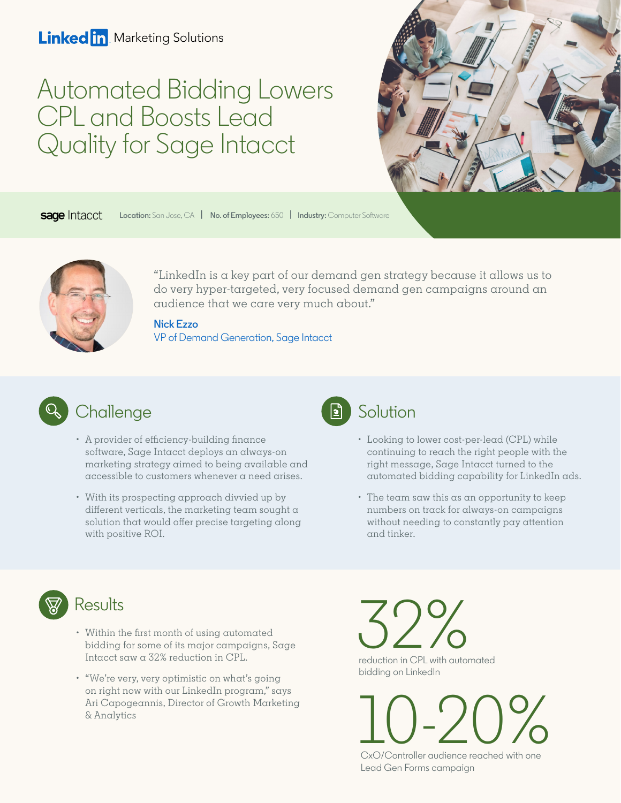#### **Linked in** Marketing Solutions

# Automated Bidding Lowers CPL and Boosts Lead Quality for Sage Intacct



sage Intacct **Location:** San Jose, CA **[| No. of Employees:](https://www.linkedin.com/company/sageintacct/)** 650 **| Industry:** Computer Software



["LinkedIn is a key part of our demand gen strategy because it allows us to](https://www.linkedin.com/in/nezzo/)  do very hyper-targeted, very focused demand gen campaigns around an audience that we care very much about."

**Nick Ezzo** VP of Demand Generation, Sage Intacct



- A provider of efficiency-building finance software, Sage Intacct deploys an always-on marketing strategy aimed to being available and accessible to customers whenever a need arises.
- With its prospecting approach divvied up by different verticals, the marketing team sought  $\alpha$ solution that would offer precise targeting along with positive ROI.



- Looking to lower cost-per-lead (CPL) while continuing to reach the right people with the right message, Sage Intacct turned to the automated bidding capability for LinkedIn ads.
- The team saw this as an opportunity to keep numbers on track for always-on campaigns without needing to constantly pay attention and tinker.



- Within the first month of using automated bidding for some of its major campaigns, Sage Intacct saw a 32% reduction in CPL.
- "We're very, very optimistic on what's going on right now with our LinkedIn program," says Ari Capogeannis, Director of Growth Marketing & Analytics

 $32%$ reduction in CPL with automated bidding on LinkedIn

 $\underline{\bigcup_{\text{CxO/Controller}}\bigcirc_{\text{CxO}}\bigcirc_{\text{Cortroller}}\bigcirc_{\text{CxO}}\bigcirc_{\text{CxO}}\bigcirc_{\text{CxO}}$ 

Lead Gen Forms campaign